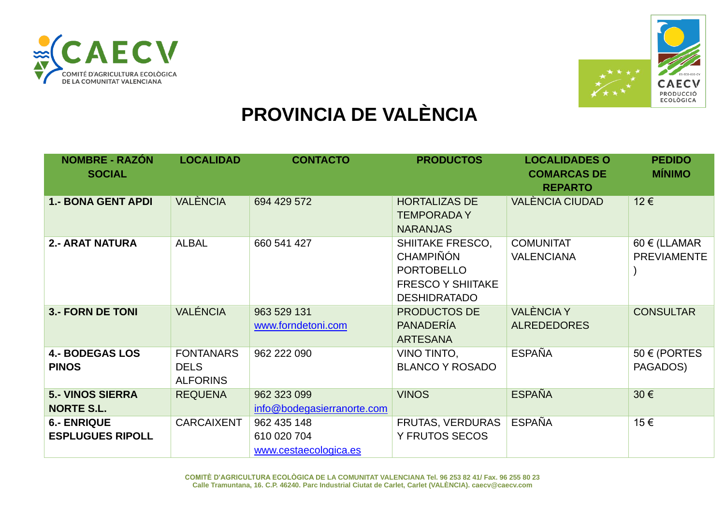



## **PROVINCIA DE VALÈNCIA**

| <b>NOMBRE - RAZÓN</b><br><b>SOCIAL</b>        | <b>LOCALIDAD</b>                                   | <b>CONTACTO</b>                                     | <b>PRODUCTOS</b>                                                                                                    | <b>LOCALIDADES O</b><br><b>COMARCAS DE</b><br><b>REPARTO</b> | <b>PEDIDO</b><br><b>MÍNIMO</b>          |
|-----------------------------------------------|----------------------------------------------------|-----------------------------------------------------|---------------------------------------------------------------------------------------------------------------------|--------------------------------------------------------------|-----------------------------------------|
| <b>1.- BONA GENT APDI</b>                     | <b>VALÈNCIA</b>                                    | 694 429 572                                         | <b>HORTALIZAS DE</b><br><b>TEMPORADAY</b><br><b>NARANJAS</b>                                                        | <b>VALÈNCIA CIUDAD</b>                                       | 12€                                     |
| <b>2.- ARAT NATURA</b>                        | <b>ALBAL</b>                                       | 660 541 427                                         | <b>SHIITAKE FRESCO,</b><br><b>CHAMPIÑÓN</b><br><b>PORTOBELLO</b><br><b>FRESCO Y SHIITAKE</b><br><b>DESHIDRATADO</b> | <b>COMUNITAT</b><br><b>VALENCIANA</b>                        | $60 \in (LLAMAR)$<br><b>PREVIAMENTE</b> |
| <b>3.- FORN DE TONI</b>                       | <b>VALÉNCIA</b>                                    | 963 529 131<br>www.forndetoni.com                   | <b>PRODUCTOS DE</b><br><b>PANADERÍA</b><br><b>ARTESANA</b>                                                          | <b>VALÈNCIA Y</b><br><b>ALREDEDORES</b>                      | <b>CONSULTAR</b>                        |
| <b>4.- BODEGAS LOS</b><br><b>PINOS</b>        | <b>FONTANARS</b><br><b>DELS</b><br><b>ALFORINS</b> | 962 222 090                                         | VINO TINTO,<br><b>BLANCO Y ROSADO</b>                                                                               | <b>ESPAÑA</b>                                                | $50 \in (PORTES)$<br>PAGADOS)           |
| <b>5.- VINOS SIERRA</b><br><b>NORTE S.L.</b>  | <b>REQUENA</b>                                     | 962 323 099<br>info@bodegasierranorte.com           | <b>VINOS</b>                                                                                                        | <b>ESPAÑA</b>                                                | 30€                                     |
| <b>6.- ENRIQUE</b><br><b>ESPLUGUES RIPOLL</b> | <b>CARCAIXENT</b>                                  | 962 435 148<br>610 020 704<br>www.cestaecologica.es | FRUTAS, VERDURAS<br><b>Y FRUTOS SECOS</b>                                                                           | <b>ESPAÑA</b>                                                | 15€                                     |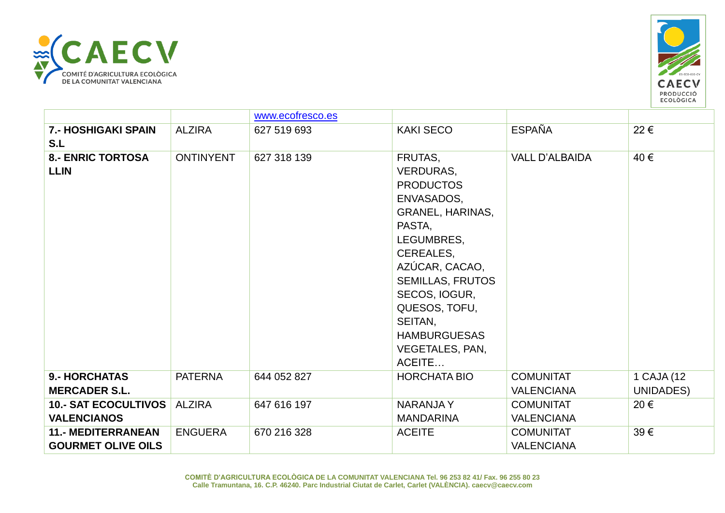



|                                                        |                  | www.ecofresco.es |                                                                                                                                                                                                                                                               |                                       |                         |
|--------------------------------------------------------|------------------|------------------|---------------------------------------------------------------------------------------------------------------------------------------------------------------------------------------------------------------------------------------------------------------|---------------------------------------|-------------------------|
| <b>7.- HOSHIGAKI SPAIN</b><br>S.L                      | <b>ALZIRA</b>    | 627 519 693      | <b>KAKI SECO</b>                                                                                                                                                                                                                                              | <b>ESPAÑA</b>                         | 22€                     |
| <b>8.- ENRIC TORTOSA</b><br><b>LLIN</b>                | <b>ONTINYENT</b> | 627 318 139      | FRUTAS,<br>VERDURAS,<br><b>PRODUCTOS</b><br>ENVASADOS,<br>GRANEL, HARINAS,<br>PASTA,<br>LEGUMBRES,<br>CEREALES,<br>AZÚCAR, CACAO,<br><b>SEMILLAS, FRUTOS</b><br>SECOS, IOGUR,<br>QUESOS, TOFU,<br>SEITAN,<br><b>HAMBURGUESAS</b><br>VEGETALES, PAN,<br>ACEITE | <b>VALL D'ALBAIDA</b>                 | 40€                     |
| <b>9.- HORCHATAS</b><br><b>MERCADER S.L.</b>           | <b>PATERNA</b>   | 644 052 827      | <b>HORCHATA BIO</b>                                                                                                                                                                                                                                           | <b>COMUNITAT</b><br><b>VALENCIANA</b> | 1 CAJA (12<br>UNIDADES) |
| 10.- SAT ECOCULTIVOS<br><b>VALENCIANOS</b>             | <b>ALZIRA</b>    | 647 616 197      | <b>NARANJAY</b><br><b>MANDARINA</b>                                                                                                                                                                                                                           | <b>COMUNITAT</b><br><b>VALENCIANA</b> | 20€                     |
| <b>11.- MEDITERRANEAN</b><br><b>GOURMET OLIVE OILS</b> | <b>ENGUERA</b>   | 670 216 328      | <b>ACEITE</b>                                                                                                                                                                                                                                                 | <b>COMUNITAT</b><br><b>VALENCIANA</b> | 39€                     |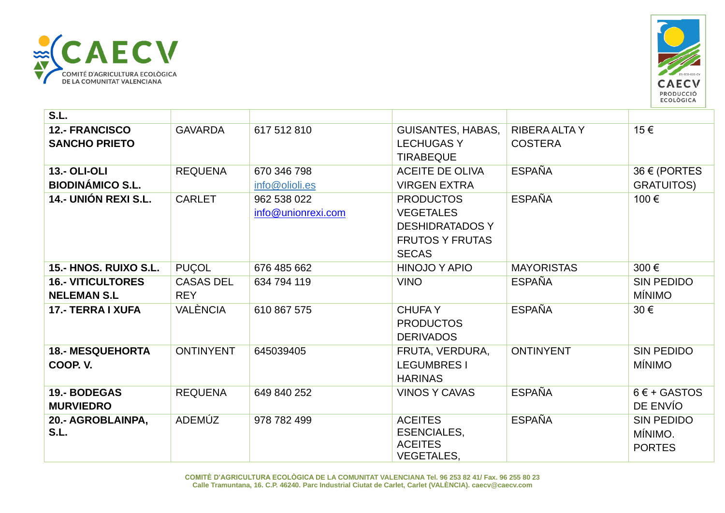



| S.L.                                           |                                |                                   |                                                                                                          |                                        |                                               |
|------------------------------------------------|--------------------------------|-----------------------------------|----------------------------------------------------------------------------------------------------------|----------------------------------------|-----------------------------------------------|
| <b>12.- FRANCISCO</b><br><b>SANCHO PRIETO</b>  | <b>GAVARDA</b>                 | 617 512 810                       | <b>GUISANTES, HABAS,</b><br><b>LECHUGASY</b><br><b>TIRABEQUE</b>                                         | <b>RIBERA ALTA Y</b><br><b>COSTERA</b> | 15€                                           |
| <b>13.- OLI-OLI</b><br><b>BIODINÁMICO S.L.</b> | <b>REQUENA</b>                 | 670 346 798<br>info@olioli.es     | <b>ACEITE DE OLIVA</b><br><b>VIRGEN EXTRA</b>                                                            | <b>ESPAÑA</b>                          | 36 € (PORTES<br><b>GRATUITOS)</b>             |
| 14.- UNIÓN REXI S.L.                           | <b>CARLET</b>                  | 962 538 022<br>info@unionrexi.com | <b>PRODUCTOS</b><br><b>VEGETALES</b><br><b>DESHIDRATADOS Y</b><br><b>FRUTOS Y FRUTAS</b><br><b>SECAS</b> | <b>ESPAÑA</b>                          | 100€                                          |
| 15.- HNOS. RUIXO S.L.                          | <b>PUÇOL</b>                   | 676 485 662                       | <b>HINOJO Y APIO</b>                                                                                     | <b>MAYORISTAS</b>                      | 300€                                          |
| <b>16.- VITICULTORES</b><br><b>NELEMAN S.L</b> | <b>CASAS DEL</b><br><b>REY</b> | 634 794 119                       | <b>VINO</b>                                                                                              | <b>ESPAÑA</b>                          | <b>SIN PEDIDO</b><br><b>MÍNIMO</b>            |
| <b>17.- TERRA I XUFA</b>                       | <b>VALÈNCIA</b>                | 610 867 575                       | <b>CHUFAY</b><br><b>PRODUCTOS</b><br><b>DERIVADOS</b>                                                    | <b>ESPAÑA</b>                          | 30€                                           |
| <b>18.- MESQUEHORTA</b><br>COOP. V.            | <b>ONTINYENT</b>               | 645039405                         | FRUTA, VERDURA,<br><b>LEGUMBRES I</b><br><b>HARINAS</b>                                                  | <b>ONTINYENT</b>                       | <b>SIN PEDIDO</b><br><b>MÍNIMO</b>            |
| 19.- BODEGAS<br><b>MURVIEDRO</b>               | <b>REQUENA</b>                 | 649 840 252                       | <b>VINOS Y CAVAS</b>                                                                                     | <b>ESPAÑA</b>                          | $6 \in +$ GASTOS<br>DE ENVÍO                  |
| 20.- AGROBLAINPA,<br>S.L.                      | ADEMÚZ                         | 978 782 499                       | <b>ACEITES</b><br><b>ESENCIALES,</b><br><b>ACEITES</b><br><b>VEGETALES,</b>                              | <b>ESPAÑA</b>                          | <b>SIN PEDIDO</b><br>MÍNIMO.<br><b>PORTES</b> |

**COMITÈ D'AGRICULTURA ECOLÒGICA DE LA COMUNITAT VALENCIANA Tel. 96 253 82 41/ Fax. 96 255 80 23 Calle Tramuntana, 16. C.P. 46240. Parc Industrial Ciutat de Carlet, Carlet (VALÈNCIA). caecv@caecv.com**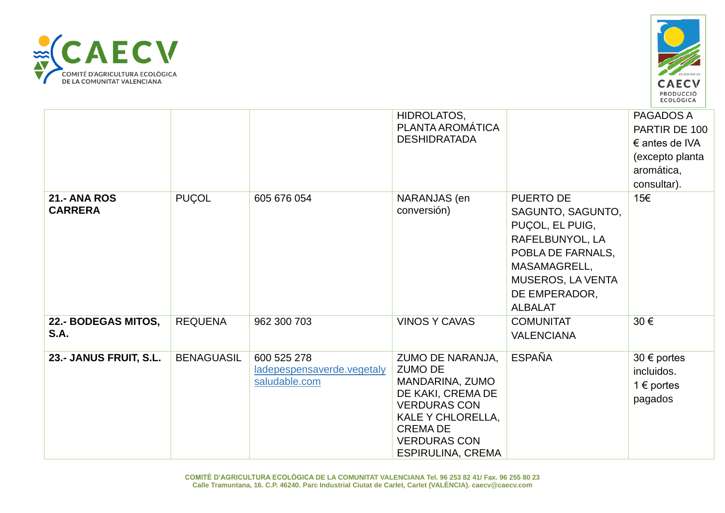



|                                       |                   |                                                            | HIDROLATOS,<br>PLANTA AROMÁTICA<br><b>DESHIDRATADA</b>                                                                                                                                      |                                                                                                                                                                          | PAGADOS A<br>PARTIR DE 100<br>$\epsilon$ antes de IVA<br>(excepto planta<br>aromática,<br>consultar). |
|---------------------------------------|-------------------|------------------------------------------------------------|---------------------------------------------------------------------------------------------------------------------------------------------------------------------------------------------|--------------------------------------------------------------------------------------------------------------------------------------------------------------------------|-------------------------------------------------------------------------------------------------------|
| <b>21.- ANA ROS</b><br><b>CARRERA</b> | <b>PUÇOL</b>      | 605 676 054                                                | NARANJAS (en<br>conversión)                                                                                                                                                                 | <b>PUERTO DE</b><br>SAGUNTO, SAGUNTO,<br>PUÇOL, EL PUIG,<br>RAFELBUNYOL, LA<br>POBLA DE FARNALS,<br>MASAMAGRELL,<br>MUSEROS, LA VENTA<br>DE EMPERADOR,<br><b>ALBALAT</b> | 15€                                                                                                   |
| 22.- BODEGAS MITOS,<br>S.A.           | <b>REQUENA</b>    | 962 300 703                                                | <b>VINOS Y CAVAS</b>                                                                                                                                                                        | <b>COMUNITAT</b><br><b>VALENCIANA</b>                                                                                                                                    | 30€                                                                                                   |
| 23.- JANUS FRUIT, S.L.                | <b>BENAGUASIL</b> | 600 525 278<br>ladepespensaverde.vegetaly<br>saludable.com | ZUMO DE NARANJA,<br><b>ZUMO DE</b><br>MANDARINA, ZUMO<br>DE KAKI, CREMA DE<br><b>VERDURAS CON</b><br>KALE Y CHLORELLA,<br><b>CREMADE</b><br><b>VERDURAS CON</b><br><b>ESPIRULINA, CREMA</b> | <b>ESPAÑA</b>                                                                                                                                                            | $30 \text{ } \in \text{ports}$<br>incluidos.<br>1 $\epsilon$ portes<br>pagados                        |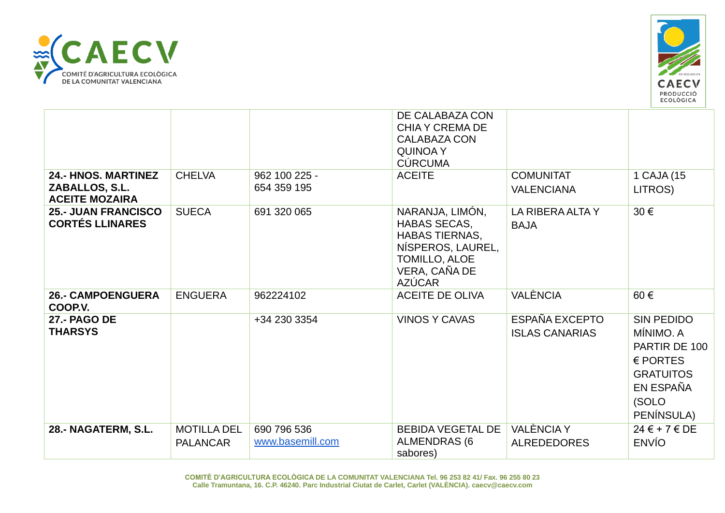



|                                                                       |                                       |                                 | DE CALABAZA CON<br><b>CHIA Y CREMA DE</b><br><b>CALABAZA CON</b><br><b>QUINOA Y</b><br><b>CÚRCUMA</b>                                   |                                         |                                                                                                                              |
|-----------------------------------------------------------------------|---------------------------------------|---------------------------------|-----------------------------------------------------------------------------------------------------------------------------------------|-----------------------------------------|------------------------------------------------------------------------------------------------------------------------------|
| <b>24.- HNOS. MARTINEZ</b><br>ZABALLOS, S.L.<br><b>ACEITE MOZAIRA</b> | <b>CHELVA</b>                         | 962 100 225 -<br>654 359 195    | <b>ACEITE</b>                                                                                                                           | <b>COMUNITAT</b><br><b>VALENCIANA</b>   | 1 CAJA (15<br>LITROS)                                                                                                        |
| <b>25.- JUAN FRANCISCO</b><br><b>CORTÉS LLINARES</b>                  | <b>SUECA</b>                          | 691 320 065                     | NARANJA, LIMÓN,<br><b>HABAS SECAS,</b><br><b>HABAS TIERNAS,</b><br>NÍSPEROS, LAUREL,<br>TOMILLO, ALOE<br>VERA, CAÑA DE<br><b>AZÚCAR</b> | LA RIBERA ALTA Y<br><b>BAJA</b>         | 30€                                                                                                                          |
| <b>26.- CAMPOENGUERA</b><br>COOP.V.                                   | <b>ENGUERA</b>                        | 962224102                       | <b>ACEITE DE OLIVA</b>                                                                                                                  | <b>VALÈNCIA</b>                         | 60€                                                                                                                          |
| <b>27.- PAGO DE</b><br><b>THARSYS</b>                                 |                                       | +34 230 3354                    | <b>VINOS Y CAVAS</b>                                                                                                                    | ESPAÑA EXCEPTO<br><b>ISLAS CANARIAS</b> | <b>SIN PEDIDO</b><br>MÍNIMO. A<br>PARTIR DE 100<br>$\epsilon$ PORTES<br><b>GRATUITOS</b><br>EN ESPAÑA<br>(SOLO<br>PENÍNSULA) |
| 28.- NAGATERM, S.L.                                                   | <b>MOTILLA DEL</b><br><b>PALANCAR</b> | 690 796 536<br>www.basemill.com | <b>BEBIDA VEGETAL DE</b><br><b>ALMENDRAS (6)</b><br>sabores)                                                                            | <b>VALÈNCIA Y</b><br><b>ALREDEDORES</b> | $24 \in +7 \in DE$<br><b>ENVÍO</b>                                                                                           |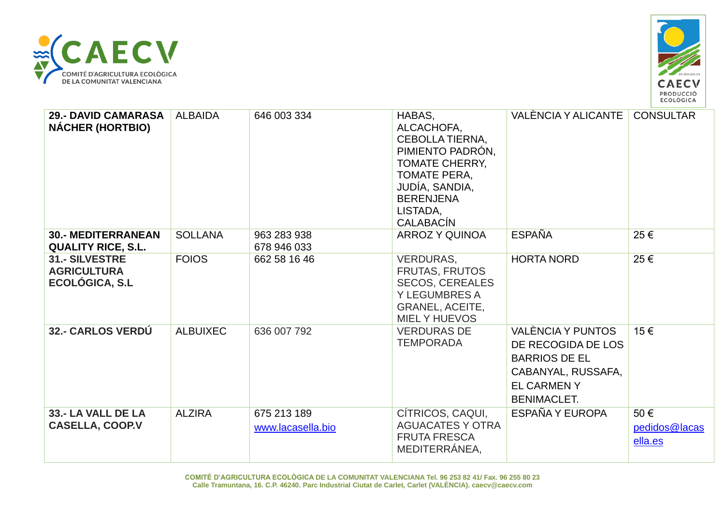



| <b>29.- DAVID CAMARASA</b><br><b>NÁCHER (HORTBIO)</b>                | <b>ALBAIDA</b>  | 646 003 334                      | HABAS,<br>ALCACHOFA,<br>CEBOLLA TIERNA,<br>PIMIENTO PADRÓN,<br><b>TOMATE CHERRY,</b><br><b>TOMATE PERA,</b><br>JUDÍA, SANDIA,<br><b>BERENJENA</b><br>LISTADA,<br><b>CALABACIN</b> | VALÈNCIA Y ALICANTE                                                                                                              | <b>CONSULTAR</b>                |
|----------------------------------------------------------------------|-----------------|----------------------------------|-----------------------------------------------------------------------------------------------------------------------------------------------------------------------------------|----------------------------------------------------------------------------------------------------------------------------------|---------------------------------|
| <b>30.- MEDITERRANEAN</b><br><b>QUALITY RICE, S.L.</b>               | <b>SOLLANA</b>  | 963 283 938<br>678 946 033       | <b>ARROZ Y QUINOA</b>                                                                                                                                                             | <b>ESPAÑA</b>                                                                                                                    | 25€                             |
| <b>31.- SILVESTRE</b><br><b>AGRICULTURA</b><br><b>ECOLÓGICA, S.L</b> | <b>FOIOS</b>    | 662 58 16 46                     | <b>VERDURAS,</b><br><b>FRUTAS, FRUTOS</b><br><b>SECOS, CEREALES</b><br><b>Y LEGUMBRES A</b><br><b>GRANEL, ACEITE,</b><br><b>MIELY HUEVOS</b>                                      | <b>HORTA NORD</b>                                                                                                                | 25€                             |
| 32.- CARLOS VERDÚ                                                    | <b>ALBUIXEC</b> | 636 007 792                      | <b>VERDURAS DE</b><br><b>TEMPORADA</b>                                                                                                                                            | VALÈNCIA Y PUNTOS<br>DE RECOGIDA DE LOS<br><b>BARRIOS DE EL</b><br>CABANYAL, RUSSAFA,<br><b>EL CARMENY</b><br><b>BENIMACLET.</b> | 15€                             |
| 33.- LA VALL DE LA<br><b>CASELLA, COOP.V</b>                         | <b>ALZIRA</b>   | 675 213 189<br>www.lacasella.bio | CÍTRICOS, CAQUI,<br><b>AGUACATES Y OTRA</b><br><b>FRUTA FRESCA</b><br>MEDITERRÁNEA,                                                                                               | ESPAÑA Y EUROPA                                                                                                                  | 50€<br>pedidos@lacas<br>ella.es |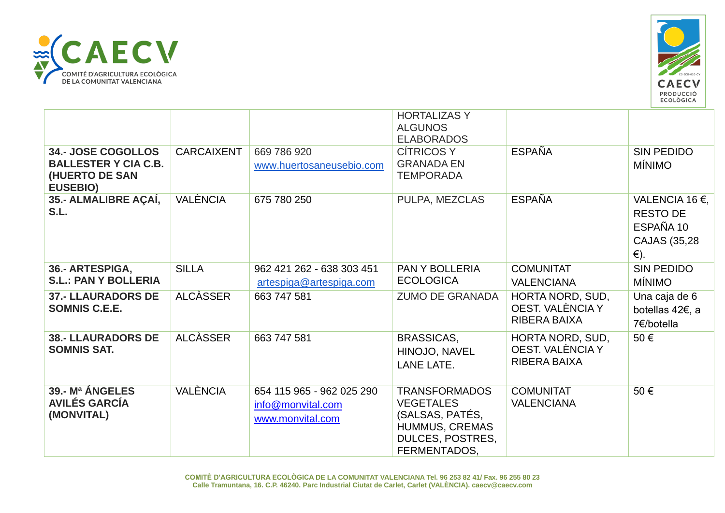



|                                                                                               |                   |                                                                    | <b>HORTALIZAS Y</b><br><b>ALGUNOS</b><br><b>ELABORADOS</b>                                                               |                                                      |                                                                                 |
|-----------------------------------------------------------------------------------------------|-------------------|--------------------------------------------------------------------|--------------------------------------------------------------------------------------------------------------------------|------------------------------------------------------|---------------------------------------------------------------------------------|
| <b>34.- JOSE COGOLLOS</b><br><b>BALLESTER Y CIA C.B.</b><br>(HUERTO DE SAN<br><b>EUSEBIO)</b> | <b>CARCAIXENT</b> | 669 786 920<br>www.huertosaneusebio.com                            | <b>CÍTRICOS Y</b><br><b>GRANADA EN</b><br><b>TEMPORADA</b>                                                               | <b>ESPAÑA</b>                                        | <b>SIN PEDIDO</b><br><b>MÍNIMO</b>                                              |
| 35.- ALMALIBRE AÇAÍ,<br>S.L.                                                                  | VALÈNCIA          | 675 780 250                                                        | PULPA, MEZCLAS                                                                                                           | <b>ESPAÑA</b>                                        | VALENCIA 16 €,<br><b>RESTO DE</b><br>ESPAÑA 10<br>CAJAS (35,28<br>$\epsilon$ ). |
| 36.- ARTESPIGA,<br><b>S.L.: PAN Y BOLLERIA</b>                                                | <b>SILLA</b>      | 962 421 262 - 638 303 451<br>artespiga@artespiga.com               | <b>PAN Y BOLLERIA</b><br><b>ECOLOGICA</b>                                                                                | <b>COMUNITAT</b><br><b>VALENCIANA</b>                | <b>SIN PEDIDO</b><br><b>MÍNIMO</b>                                              |
| <b>37.- LLAURADORS DE</b><br><b>SOMNIS C.E.E.</b>                                             | <b>ALCÀSSER</b>   | 663 747 581                                                        | <b>ZUMO DE GRANADA</b>                                                                                                   | HORTA NORD, SUD,<br>OEST. VALÈNCIA Y<br>RIBERA BAIXA | Una caja de 6<br>botellas 42€, a<br>7€/botella                                  |
| <b>38.- LLAURADORS DE</b><br><b>SOMNIS SAT.</b>                                               | <b>ALCÀSSER</b>   | 663 747 581                                                        | <b>BRASSICAS,</b><br>HINOJO, NAVEL<br><b>LANE LATE.</b>                                                                  | HORTA NORD, SUD,<br>OEST. VALÈNCIA Y<br>RIBERA BAIXA | 50€                                                                             |
| 39.- Mª ÁNGELES<br><b>AVILÉS GARCÍA</b><br>(MONVITAL)                                         | <b>VALÈNCIA</b>   | 654 115 965 - 962 025 290<br>info@monvital.com<br>www.monvital.com | <b>TRANSFORMADOS</b><br><b>VEGETALES</b><br>(SALSAS, PATÉS,<br>HUMMUS, CREMAS<br><b>DULCES, POSTRES,</b><br>FERMENTADOS, | <b>COMUNITAT</b><br><b>VALENCIANA</b>                | 50€                                                                             |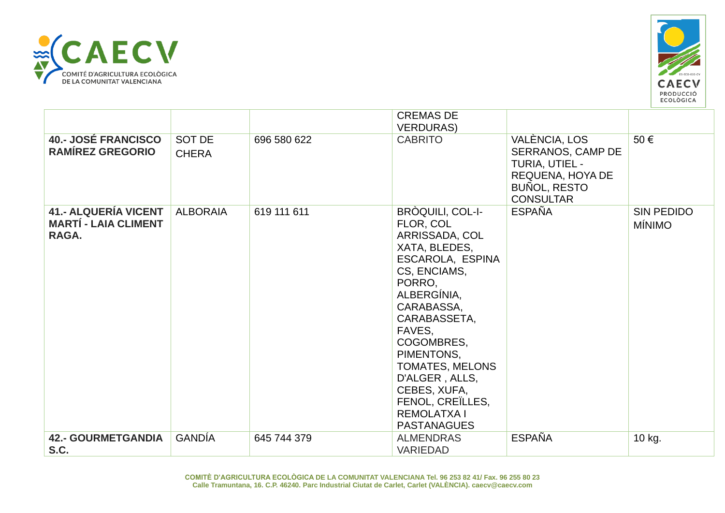



|                                                                     |                        |             | <b>CREMAS DE</b><br><b>VERDURAS)</b>                                                                                                                                                                                                                                                                                         |                                                                                                                     |                                    |
|---------------------------------------------------------------------|------------------------|-------------|------------------------------------------------------------------------------------------------------------------------------------------------------------------------------------------------------------------------------------------------------------------------------------------------------------------------------|---------------------------------------------------------------------------------------------------------------------|------------------------------------|
| <b>40.- JOSÉ FRANCISCO</b><br><b>RAMÍREZ GREGORIO</b>               | SOT DE<br><b>CHERA</b> | 696 580 622 | <b>CABRITO</b>                                                                                                                                                                                                                                                                                                               | VALÈNCIA, LOS<br>SERRANOS, CAMP DE<br>TURIA, UTIEL -<br>REQUENA, HOYA DE<br><b>BUÑOL, RESTO</b><br><b>CONSULTAR</b> | 50€                                |
| <b>41.- ALQUERÍA VICENT</b><br><b>MARTÍ - LAIA CLIMENT</b><br>RAGA. | <b>ALBORAIA</b>        | 619 111 611 | BROQUILI, COL-I-<br>FLOR, COL<br>ARRISSADA, COL<br>XATA, BLEDES,<br>ESCAROLA, ESPINA<br>CS, ENCIAMS,<br>PORRO,<br>ALBERGÍNIA,<br>CARABASSA,<br>CARABASSETA,<br>FAVES,<br>COGOMBRES,<br>PIMENTONS,<br><b>TOMATES, MELONS</b><br>D'ALGER, ALLS,<br>CEBES, XUFA,<br>FENOL, CREILLES,<br><b>REMOLATXAI</b><br><b>PASTANAGUES</b> | <b>ESPAÑA</b>                                                                                                       | <b>SIN PEDIDO</b><br><b>MÍNIMO</b> |
| <b>42.- GOURMETGANDIA</b><br>S.C.                                   | <b>GANDÍA</b>          | 645 744 379 | <b>ALMENDRAS</b><br><b>VARIEDAD</b>                                                                                                                                                                                                                                                                                          | <b>ESPAÑA</b>                                                                                                       | 10 kg.                             |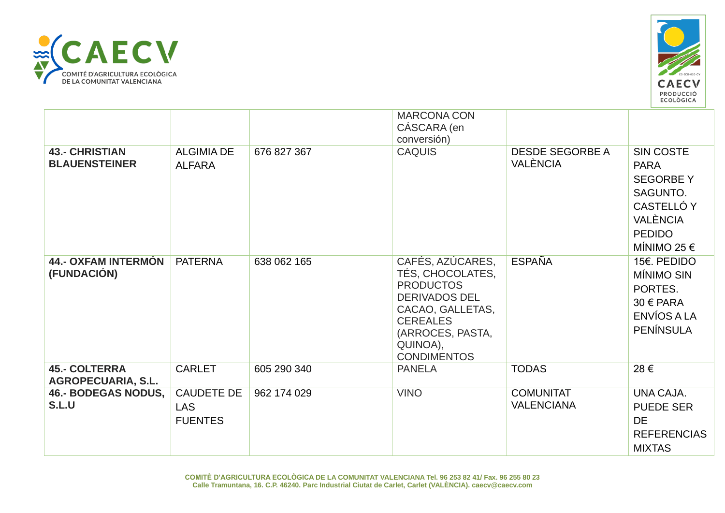



|                                                   |                                                   |             | <b>MARCONA CON</b><br>CÁSCARA (en<br>conversión)                                                                                                                              |                                           |                                                                                                                              |
|---------------------------------------------------|---------------------------------------------------|-------------|-------------------------------------------------------------------------------------------------------------------------------------------------------------------------------|-------------------------------------------|------------------------------------------------------------------------------------------------------------------------------|
| <b>43.- CHRISTIAN</b><br><b>BLAUENSTEINER</b>     | <b>ALGIMIA DE</b><br><b>ALFARA</b>                | 676 827 367 | <b>CAQUIS</b>                                                                                                                                                                 | <b>DESDE SEGORBE A</b><br><b>VALÈNCIA</b> | <b>SIN COSTE</b><br><b>PARA</b><br><b>SEGORBEY</b><br>SAGUNTO.<br>CASTELLÓ Y<br>VALÈNCIA<br><b>PEDIDO</b><br>MÍNIMO 25 $\in$ |
| <b>44.- OXFAM INTERMÓN</b><br>(FUNDACIÓN)         | <b>PATERNA</b>                                    | 638 062 165 | CAFÉS, AZÚCARES,<br>TÉS, CHOCOLATES,<br><b>PRODUCTOS</b><br><b>DERIVADOS DEL</b><br>CACAO, GALLETAS,<br><b>CEREALES</b><br>(ARROCES, PASTA,<br>QUINOA),<br><b>CONDIMENTOS</b> | <b>ESPAÑA</b>                             | 15€. PEDIDO<br>MÍNIMO SIN<br>PORTES.<br>$30 \in PARA$<br>ENVÍOS A LA<br><b>PENÍNSULA</b>                                     |
| <b>45.- COLTERRA</b><br><b>AGROPECUARIA, S.L.</b> | <b>CARLET</b>                                     | 605 290 340 | <b>PANELA</b>                                                                                                                                                                 | <b>TODAS</b>                              | 28€                                                                                                                          |
| <b>46.- BODEGAS NODUS,</b><br>S.L.U               | <b>CAUDETE DE</b><br><b>LAS</b><br><b>FUENTES</b> | 962 174 029 | <b>VINO</b>                                                                                                                                                                   | <b>COMUNITAT</b><br><b>VALENCIANA</b>     | UNA CAJA.<br><b>PUEDE SER</b><br><b>DE</b><br><b>REFERENCIAS</b><br><b>MIXTAS</b>                                            |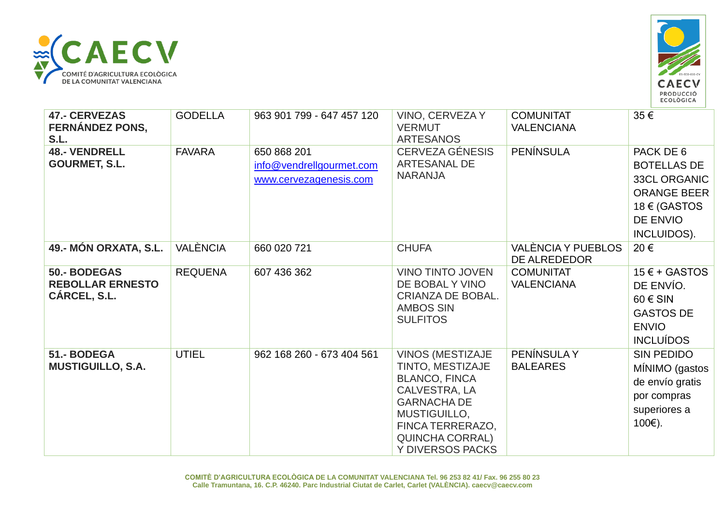



| <b>47.- CERVEZAS</b><br><b>FERNÁNDEZ PONS,</b><br>S.L.  | <b>GODELLA</b>  | 963 901 799 - 647 457 120                                         | VINO, CERVEZA Y<br><b>VERMUT</b><br><b>ARTESANOS</b>                                                                                                                                         | <b>COMUNITAT</b><br><b>VALENCIANA</b> | 35 €                                                                                                                           |
|---------------------------------------------------------|-----------------|-------------------------------------------------------------------|----------------------------------------------------------------------------------------------------------------------------------------------------------------------------------------------|---------------------------------------|--------------------------------------------------------------------------------------------------------------------------------|
| <b>48.- VENDRELL</b><br><b>GOURMET, S.L.</b>            | <b>FAVARA</b>   | 650 868 201<br>info@vendrellgourmet.com<br>www.cervezagenesis.com | CERVEZA GÉNESIS<br>ARTESANAL DE<br><b>NARANJA</b>                                                                                                                                            | <b>PENÍNSULA</b>                      | PACK DE 6<br><b>BOTELLAS DE</b><br><b>33CL ORGANIC</b><br><b>ORANGE BEER</b><br>$18 \notin$ (GASTOS<br>DE ENVIO<br>INCLUIDOS). |
| 49.- MÓN ORXATA, S.L.                                   | <b>VALÈNCIA</b> | 660 020 721                                                       | <b>CHUFA</b>                                                                                                                                                                                 | VALÈNCIA Y PUEBLOS<br>DE ALREDEDOR    | 20€                                                                                                                            |
| 50.- BODEGAS<br><b>REBOLLAR ERNESTO</b><br>CÁRCEL, S.L. | <b>REQUENA</b>  | 607 436 362                                                       | <b>VINO TINTO JOVEN</b><br>DE BOBAL Y VINO<br>CRIANZA DE BOBAL.<br><b>AMBOS SIN</b><br><b>SULFITOS</b>                                                                                       | <b>COMUNITAT</b><br><b>VALENCIANA</b> | $15 \in +$ GASTOS<br>DE ENVÍO.<br>$60 \in$ SIN<br><b>GASTOS DE</b><br><b>ENVIO</b><br><b>INCLUÍDOS</b>                         |
| 51.- BODEGA<br><b>MUSTIGUILLO, S.A.</b>                 | <b>UTIEL</b>    | 962 168 260 - 673 404 561                                         | <b>VINOS (MESTIZAJE</b><br>TINTO, MESTIZAJE<br><b>BLANCO, FINCA</b><br>CALVESTRA, LA<br><b>GARNACHA DE</b><br>MUSTIGUILLO,<br>FINCA TERRERAZO,<br><b>QUINCHA CORRAL)</b><br>Y DIVERSOS PACKS | PENÍNSULA Y<br><b>BALEARES</b>        | <b>SIN PEDIDO</b><br>MÍNIMO (gastos<br>de envío gratis<br>por compras<br>superiores a<br>100€).                                |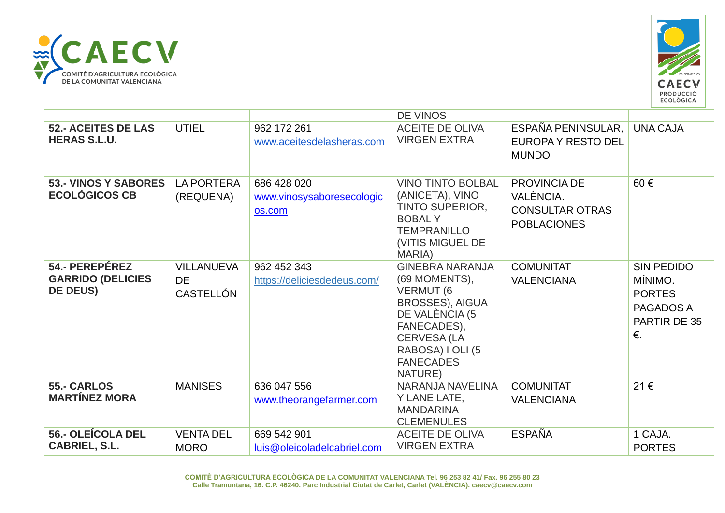



|                                                               |                                                    |                                                    | DE VINOS                                                                                                                                                                                         |                                                                           |                                                                                  |
|---------------------------------------------------------------|----------------------------------------------------|----------------------------------------------------|--------------------------------------------------------------------------------------------------------------------------------------------------------------------------------------------------|---------------------------------------------------------------------------|----------------------------------------------------------------------------------|
| <b>52.- ACEITES DE LAS</b><br><b>HERAS S.L.U.</b>             | <b>UTIEL</b>                                       | 962 172 261<br>www.aceitesdelasheras.com           | <b>ACEITE DE OLIVA</b><br><b>VIRGEN EXTRA</b>                                                                                                                                                    | ESPAÑA PENINSULAR,<br><b>EUROPA Y RESTO DEL</b><br><b>MUNDO</b>           | <b>UNA CAJA</b>                                                                  |
| <b>53.- VINOS Y SABORES</b><br><b>ECOLÓGICOS CB</b>           | <b>LA PORTERA</b><br>(REQUENA)                     | 686 428 020<br>www.vinosysaboresecologic<br>os.com | <b>VINO TINTO BOLBAL</b><br>(ANICETA), VINO<br>TINTO SUPERIOR,<br><b>BOBALY</b><br><b>TEMPRANILLO</b><br>(VITIS MIGUEL DE<br>MARIA)                                                              | PROVINCIA DE<br>VALÈNCIA.<br><b>CONSULTAR OTRAS</b><br><b>POBLACIONES</b> | 60€                                                                              |
| 54.- PEREPÉREZ<br><b>GARRIDO (DELICIES</b><br><b>DE DEUS)</b> | <b>VILLANUEVA</b><br><b>DE</b><br><b>CASTELLÓN</b> | 962 452 343<br>https://deliciesdedeus.com/         | <b>GINEBRA NARANJA</b><br>(69 MOMENTS),<br><b>VERMUT (6)</b><br><b>BROSSES), AIGUA</b><br>DE VALÈNCIA (5<br>FANECADES),<br><b>CERVESA (LA</b><br>RABOSA) I OLI (5<br><b>FANECADES</b><br>NATURE) | <b>COMUNITAT</b><br><b>VALENCIANA</b>                                     | <b>SIN PEDIDO</b><br>MÍNIMO.<br><b>PORTES</b><br>PAGADOS A<br>PARTIR DE 35<br>€. |
| <b>55.- CARLOS</b><br><b>MARTÍNEZ MORA</b>                    | <b>MANISES</b>                                     | 636 047 556<br>www.theorangefarmer.com             | NARANJA NAVELINA<br>Y LANE LATE,<br><b>MANDARINA</b><br><b>CLEMENULES</b>                                                                                                                        | <b>COMUNITAT</b><br><b>VALENCIANA</b>                                     | 21€                                                                              |
| 56.- OLEÍCOLA DEL<br>CABRIEL, S.L.                            | <b>VENTA DEL</b><br><b>MORO</b>                    | 669 542 901<br>luis@oleicoladelcabriel.com         | <b>ACEITE DE OLIVA</b><br><b>VIRGEN EXTRA</b>                                                                                                                                                    | <b>ESPAÑA</b>                                                             | 1 CAJA.<br><b>PORTES</b>                                                         |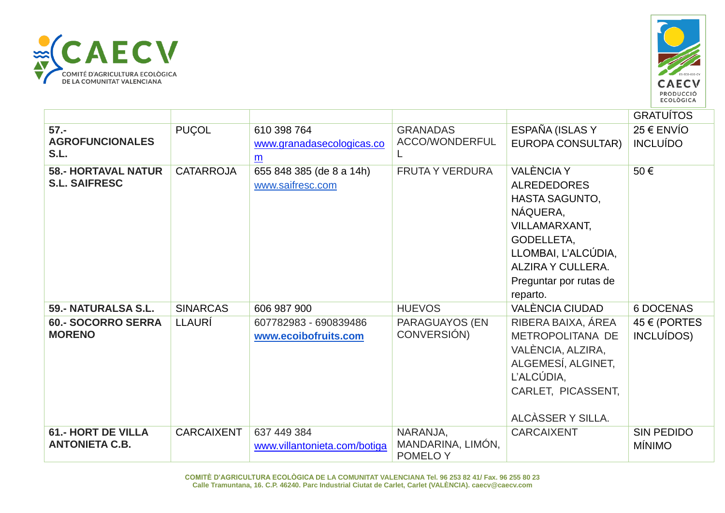



|                                                    |                   |                                                             |                                           |                                                                                                                                                                                                      | <b>GRATUÍTOS</b>                   |
|----------------------------------------------------|-------------------|-------------------------------------------------------------|-------------------------------------------|------------------------------------------------------------------------------------------------------------------------------------------------------------------------------------------------------|------------------------------------|
| $57. -$<br><b>AGROFUNCIONALES</b><br>S.L.          | <b>PUÇOL</b>      | 610 398 764<br>www.granadasecologicas.co<br>$\underline{m}$ | <b>GRANADAS</b><br>ACCO/WONDERFUL         | ESPAÑA (ISLAS Y<br><b>EUROPA CONSULTAR)</b>                                                                                                                                                          | $25 \in$ ENVIO<br><b>INCLUÍDO</b>  |
| <b>58.- HORTAVAL NATUR</b><br><b>S.L. SAIFRESC</b> | <b>CATARROJA</b>  | 655 848 385 (de 8 a 14h)<br>www.saifresc.com                | <b>FRUTA Y VERDURA</b>                    | <b>VALÈNCIA Y</b><br><b>ALREDEDORES</b><br><b>HASTA SAGUNTO,</b><br>NÁQUERA,<br><b>VILLAMARXANT,</b><br>GODELLETA,<br>LLOMBAI, L'ALCÚDIA,<br>ALZIRA Y CULLERA.<br>Preguntar por rutas de<br>reparto. | 50€                                |
| 59.- NATURALSA S.L.                                | <b>SINARCAS</b>   | 606 987 900                                                 | <b>HUEVOS</b>                             | VALÈNCIA CIUDAD                                                                                                                                                                                      | <b>6 DOCENAS</b>                   |
| <b>60.- SOCORRO SERRA</b><br><b>MORENO</b>         | LLAURÍ            | 607782983 - 690839486<br>www.ecoibofruits.com               | PARAGUAYOS (EN<br>CONVERSIÓN)             | RIBERA BAIXA, ÁREA<br>METROPOLITANA DE<br>VALÈNCIA, ALZIRA,<br>ALGEMESÍ, ALGINET,<br>L'ALCÚDIA,<br>CARLET, PICASSENT,<br>ALCÀSSER Y SILLA.                                                           | 45 € (PORTES<br>INCLUÍDOS)         |
| <b>61.- HORT DE VILLA</b><br><b>ANTONIETA C.B.</b> | <b>CARCAIXENT</b> | 637 449 384<br>www.villantonieta.com/botiga                 | NARANJA,<br>MANDARINA, LIMÓN,<br>POMELO Y | <b>CARCAIXENT</b>                                                                                                                                                                                    | <b>SIN PEDIDO</b><br><b>MÍNIMO</b> |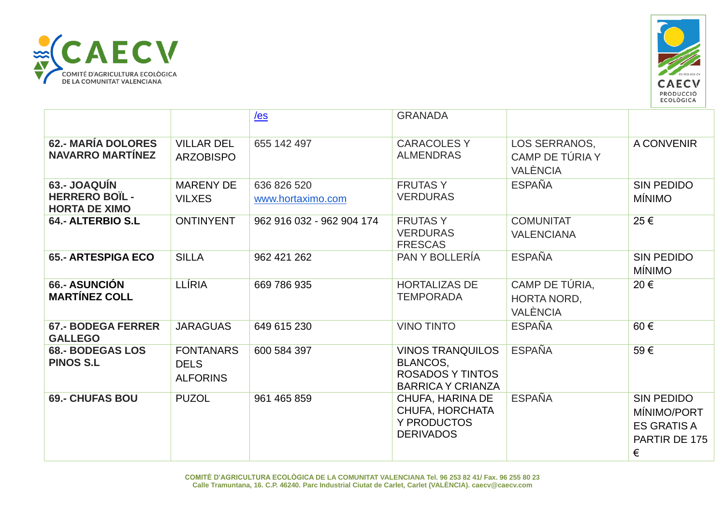



|                                                               |                                                    | $les$                            | <b>GRANADA</b>                                                                             |                                                  |                                                                              |
|---------------------------------------------------------------|----------------------------------------------------|----------------------------------|--------------------------------------------------------------------------------------------|--------------------------------------------------|------------------------------------------------------------------------------|
| <b>62.- MARÍA DOLORES</b><br><b>NAVARRO MARTÍNEZ</b>          | <b>VILLAR DEL</b><br><b>ARZOBISPO</b>              | 655 142 497                      | <b>CARACOLESY</b><br><b>ALMENDRAS</b>                                                      | LOS SERRANOS,<br>CAMP DE TÚRIA Y<br>VALÈNCIA     | <b>A CONVENIR</b>                                                            |
| 63.- JOAQUÍN<br><b>HERRERO BOIL -</b><br><b>HORTA DE XIMO</b> | <b>MARENY DE</b><br><b>VILXES</b>                  | 636 826 520<br>www.hortaximo.com | <b>FRUTASY</b><br><b>VERDURAS</b>                                                          | <b>ESPAÑA</b>                                    | <b>SIN PEDIDO</b><br><b>MÍNIMO</b>                                           |
| 64.- ALTERBIO S.L                                             | <b>ONTINYENT</b>                                   | 962 916 032 - 962 904 174        | <b>FRUTASY</b><br><b>VERDURAS</b><br><b>FRESCAS</b>                                        | <b>COMUNITAT</b><br><b>VALENCIANA</b>            | 25€                                                                          |
| <b>65.- ARTESPIGA ECO</b>                                     | <b>SILLA</b>                                       | 962 421 262                      | PAN Y BOLLERÍA                                                                             | <b>ESPAÑA</b>                                    | <b>SIN PEDIDO</b><br><b>MÍNIMO</b>                                           |
| 66.- ASUNCIÓN<br><b>MARTINEZ COLL</b>                         | <b>LLÍRIA</b>                                      | 669 786 935                      | <b>HORTALIZAS DE</b><br><b>TEMPORADA</b>                                                   | CAMP DE TÚRIA,<br>HORTA NORD,<br><b>VALÈNCIA</b> | 20€                                                                          |
| <b>67.- BODEGA FERRER</b><br><b>GALLEGO</b>                   | <b>JARAGUAS</b>                                    | 649 615 230                      | <b>VINO TINTO</b>                                                                          | <b>ESPAÑA</b>                                    | 60€                                                                          |
| <b>68.- BODEGAS LOS</b><br><b>PINOS S.L</b>                   | <b>FONTANARS</b><br><b>DELS</b><br><b>ALFORINS</b> | 600 584 397                      | <b>VINOS TRANQUILOS</b><br>BLANCOS,<br><b>ROSADOS Y TINTOS</b><br><b>BARRICA Y CRIANZA</b> | <b>ESPAÑA</b>                                    | 59€                                                                          |
| <b>69.- CHUFAS BOU</b>                                        | <b>PUZOL</b>                                       | 961 465 859                      | CHUFA, HARINA DE<br>CHUFA, HORCHATA<br>Y PRODUCTOS<br><b>DERIVADOS</b>                     | <b>ESPAÑA</b>                                    | <b>SIN PEDIDO</b><br>MÍNIMO/PORT<br><b>ES GRATIS A</b><br>PARTIR DE 175<br>€ |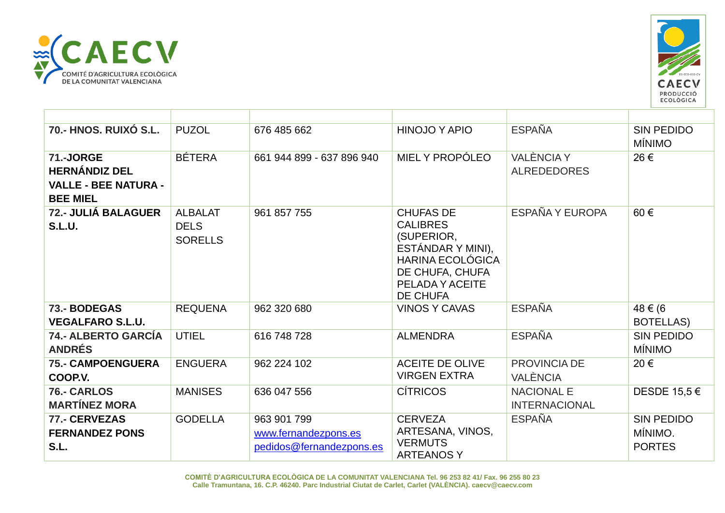



| <b>70.- HNOS. RUIXÓ S.L.</b>                                                        | <b>PUZOL</b>                                    | 676 485 662                                                     | <b>HINOJO Y APIO</b>                                                                                                                                       | <b>ESPAÑA</b>                             | <b>SIN PEDIDO</b><br><b>MÍNIMO</b>            |
|-------------------------------------------------------------------------------------|-------------------------------------------------|-----------------------------------------------------------------|------------------------------------------------------------------------------------------------------------------------------------------------------------|-------------------------------------------|-----------------------------------------------|
| 71.-JORGE<br><b>HERNÁNDIZ DEL</b><br><b>VALLE - BEE NATURA -</b><br><b>BEE MIEL</b> | <b>BÉTERA</b>                                   | 661 944 899 - 637 896 940                                       | MIEL Y PROPÓLEO                                                                                                                                            | <b>VALÈNCIA Y</b><br><b>ALREDEDORES</b>   | 26€                                           |
| 72.- JULIÁ BALAGUER<br><b>S.L.U.</b>                                                | <b>ALBALAT</b><br><b>DELS</b><br><b>SORELLS</b> | 961 857 755                                                     | <b>CHUFAS DE</b><br><b>CALIBRES</b><br>(SUPERIOR,<br>ESTÁNDAR Y MINI),<br><b>HARINA ECOLÓGICA</b><br>DE CHUFA, CHUFA<br>PELADA Y ACEITE<br><b>DE CHUFA</b> | ESPAÑA Y EUROPA                           | 60€                                           |
| 73.- BODEGAS<br><b>VEGALFARO S.L.U.</b>                                             | <b>REQUENA</b>                                  | 962 320 680                                                     | <b>VINOS Y CAVAS</b>                                                                                                                                       | <b>ESPAÑA</b>                             | 48 € (6<br>BOTELLAS)                          |
| <b>74.- ALBERTO GARCÍA</b><br><b>ANDRÉS</b>                                         | <b>UTIEL</b>                                    | 616 748 728                                                     | <b>ALMENDRA</b>                                                                                                                                            | <b>ESPAÑA</b>                             | <b>SIN PEDIDO</b><br><b>MÍNIMO</b>            |
| <b>75.- CAMPOENGUERA</b><br>COOP.V.                                                 | <b>ENGUERA</b>                                  | 962 224 102                                                     | <b>ACEITE DE OLIVE</b><br><b>VIRGEN EXTRA</b>                                                                                                              | PROVINCIA DE<br><b>VALÈNCIA</b>           | 20€                                           |
| 76.- CARLOS<br><b>MARTÍNEZ MORA</b>                                                 | <b>MANISES</b>                                  | 636 047 556                                                     | <b>CÍTRICOS</b>                                                                                                                                            | <b>NACIONAL E</b><br><b>INTERNACIONAL</b> | DESDE 15,5 €                                  |
| 77.- CERVEZAS<br><b>FERNANDEZ PONS</b><br>S.L.                                      | <b>GODELLA</b>                                  | 963 901 799<br>www.fernandezpons.es<br>pedidos@fernandezpons.es | <b>CERVEZA</b><br>ARTESANA, VINOS,<br><b>VERMUTS</b><br><b>ARTEANOSY</b>                                                                                   | <b>ESPAÑA</b>                             | <b>SIN PEDIDO</b><br>MÍNIMO.<br><b>PORTES</b> |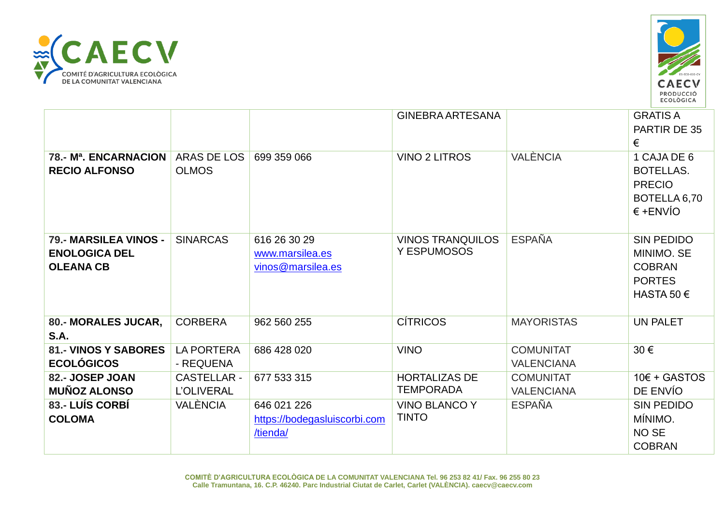



|                                                                   |                                         |                                                         | <b>GINEBRA ARTESANA</b>                  |                                       | <b>GRATIS A</b><br>PARTIR DE 35<br>€                                                     |
|-------------------------------------------------------------------|-----------------------------------------|---------------------------------------------------------|------------------------------------------|---------------------------------------|------------------------------------------------------------------------------------------|
| 78.- M <sup>a</sup> . ENCARNACION<br><b>RECIO ALFONSO</b>         | ARAS DE LOS<br><b>OLMOS</b>             | 699 359 066                                             | <b>VINO 2 LITROS</b>                     | VALÈNCIA                              | 1 CAJA DE 6<br><b>BOTELLAS.</b><br><b>PRECIO</b><br>BOTELLA 6,70<br>$∈ +ENVÍO$           |
| 79.- MARSILEA VINOS -<br><b>ENOLOGICA DEL</b><br><b>OLEANA CB</b> | <b>SINARCAS</b>                         | 616 26 30 29<br>www.marsilea.es<br>vinos@marsilea.es    | <b>VINOS TRANQUILOS</b><br>Y ESPUMOSOS   | <b>ESPAÑA</b>                         | <b>SIN PEDIDO</b><br>MINIMO. SE<br><b>COBRAN</b><br><b>PORTES</b><br>HASTA 50 $\epsilon$ |
| 80.- MORALES JUCAR,<br>S.A.                                       | <b>CORBERA</b>                          | 962 560 255                                             | <b>CÍTRICOS</b>                          | <b>MAYORISTAS</b>                     | <b>UN PALET</b>                                                                          |
| <b>81.- VINOS Y SABORES</b><br><b>ECOLÓGICOS</b>                  | <b>LA PORTERA</b><br>- REQUENA          | 686 428 020                                             | <b>VINO</b>                              | <b>COMUNITAT</b><br><b>VALENCIANA</b> | 30€                                                                                      |
| 82.- JOSEP JOAN<br><b>MUÑOZ ALONSO</b>                            | <b>CASTELLAR -</b><br><b>L'OLIVERAL</b> | 677 533 315                                             | <b>HORTALIZAS DE</b><br><b>TEMPORADA</b> | <b>COMUNITAT</b><br><b>VALENCIANA</b> | $10 \epsilon$ + GASTOS<br>DE ENVÍO                                                       |
| 83.- LUÍS CORBÍ<br><b>COLOMA</b>                                  | <b>VALÈNCIA</b>                         | 646 021 226<br>https://bodegasluiscorbi.com<br>/tienda/ | <b>VINO BLANCO Y</b><br><b>TINTO</b>     | <b>ESPAÑA</b>                         | <b>SIN PEDIDO</b><br>MÍNIMO.<br>NO <sub>SE</sub><br><b>COBRAN</b>                        |